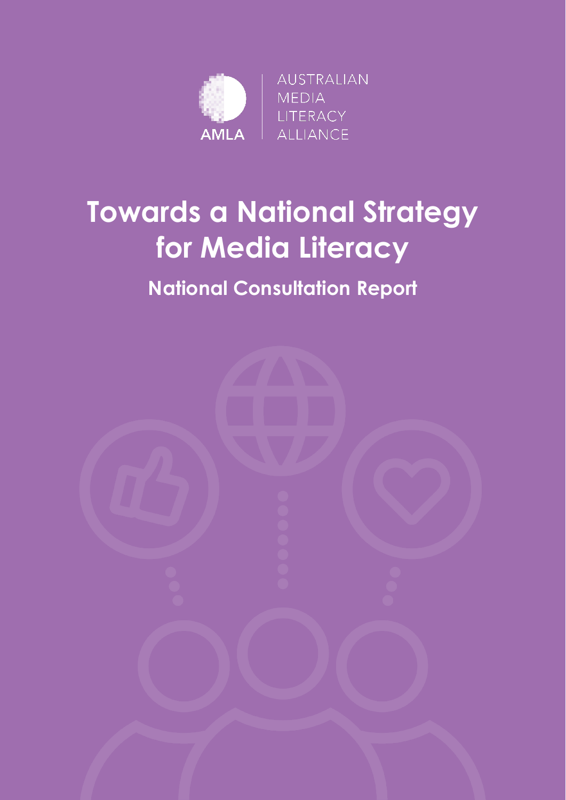

# **Towards a National Strategy for Media Literacy**

### **National Consultation Report**

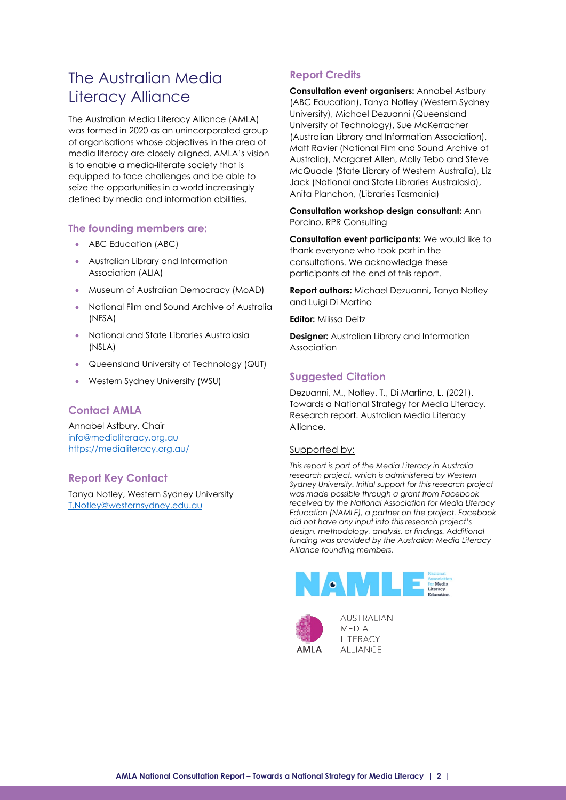### The Australian Media Literacy Alliance

The Australian Media Literacy Alliance (AMLA) was formed in 2020 as an unincorporated group of organisations whose objectives in the area of media literacy are closely aligned. AMLA's vision is to enable a media-literate society that is equipped to face challenges and be able to seize the opportunities in a world increasingly defined by media and information abilities.

#### **The founding members are:**

- ABC Education (ABC)
- Australian Library and Information Association (ALIA)
- Museum of Australian Democracy (MoAD)
- National Film and Sound Archive of Australia (NFSA)
- National and State Libraries Australasia (NSLA)
- Queensland University of Technology (QUT)
- Western Sydney University (WSU)

#### **Contact AMLA**

Annabel Astbury, Chair [info@medialiteracy.org.au](mailto:info@medialiteracy.org.au) <https://medialiteracy.org.au/>

#### **Report Key Contact**

Tanya Notley, Western Sydney University [T.Notley@westernsydney.edu.au](mailto:T.Notley@westernsydney.edu.au)

#### **Report Credits**

**Consultation event organisers:** Annabel Astbury (ABC Education), Tanya Notley (Western Sydney University), Michael Dezuanni (Queensland University of Technology), Sue McKerracher (Australian Library and Information Association), Matt Ravier (National Film and Sound Archive of Australia), Margaret Allen, Molly Tebo and Steve McQuade (State Library of Western Australia), Liz Jack (National and State Libraries Australasia), Anita Planchon, (Libraries Tasmania)

**Consultation workshop design consultant:** Ann Porcino, RPR Consulting

**Consultation event participants:** We would like to thank everyone who took part in the consultations. We acknowledge these participants at the end of this report.

**Report authors:** Michael Dezuanni, Tanya Notley and Luigi Di Martino

**Editor:** Milissa Deitz

**Designer:** Australian Library and Information Association

#### **Suggested Citation**

Dezuanni, M., Notley. T., Di Martino, L. (2021). Towards a National Strategy for Media Literacy. Research report. Australian Media Literacy Alliance.

#### Supported by:

*This report is part of the Media Literacy in Australia research project, which is administered by Western Sydney University. Initial support for this research project was made possible through a grant from Facebook received by the National Association for Media Literacy Education (NAMLE), a partner on the project. Facebook did not have any input into this research project's design, methodology, analysis, or findings. Additional funding was provided by the Australian Media Literacy Alliance founding members.*





AUSTRALIAN **MFDIA** LITERACY **ALLIANCE**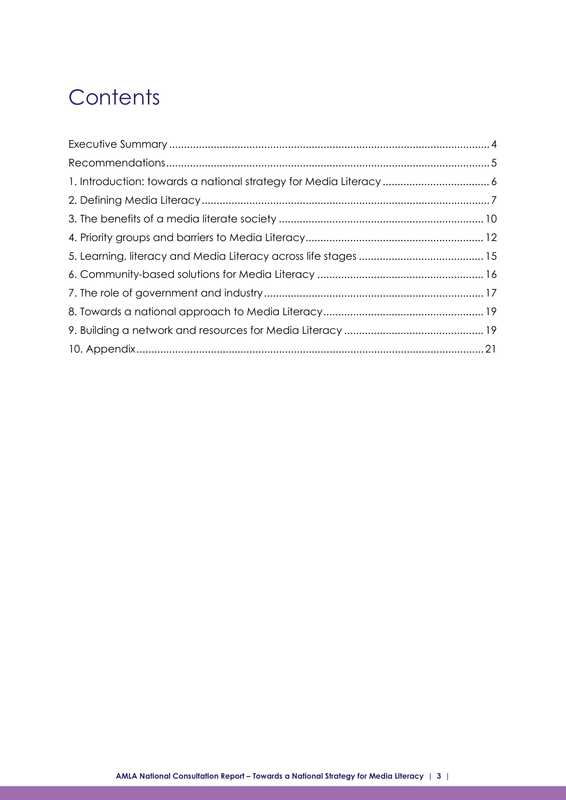# **Contents**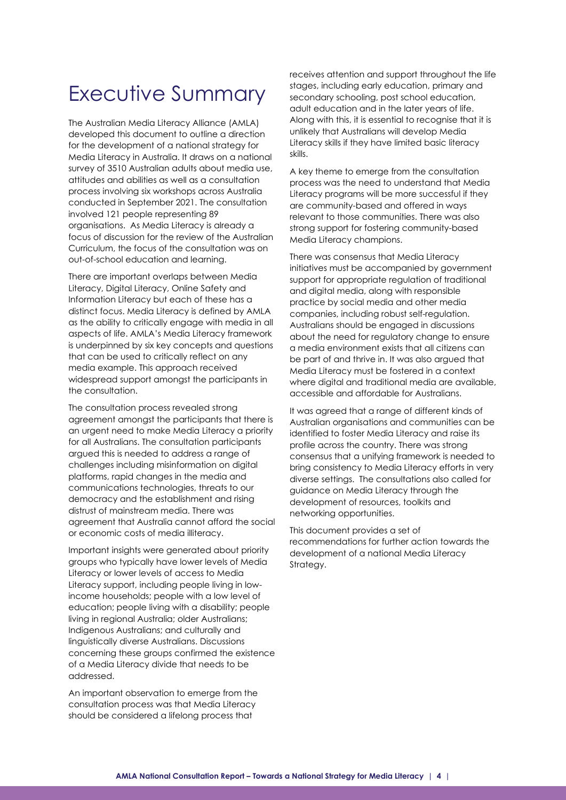### <span id="page-3-0"></span>Executive Summary

The Australian Media Literacy Alliance (AMLA) developed this document to outline a direction for the development of a national strategy for Media Literacy in Australia. It draws on a national survey of 3510 Australian adults about media use, attitudes and abilities as well as a consultation process involving six workshops across Australia conducted in September 2021. The consultation involved 121 people representing 89 organisations. As Media Literacy is already a focus of discussion for the review of the Australian Curriculum, the focus of the consultation was on out-of-school education and learning.

There are important overlaps between Media Literacy, Digital Literacy, Online Safety and Information Literacy but each of these has a distinct focus. Media Literacy is defined by AMLA as the ability to critically engage with media in all aspects of life. AMLA's Media Literacy framework is underpinned by six key concepts and questions that can be used to critically reflect on any media example. This approach received widespread support amongst the participants in the consultation.

The consultation process revealed strong agreement amongst the participants that there is an urgent need to make Media Literacy a priority for all Australians. The consultation participants argued this is needed to address a range of challenges including misinformation on digital platforms, rapid changes in the media and communications technologies, threats to our democracy and the establishment and rising distrust of mainstream media. There was agreement that Australia cannot afford the social or economic costs of media illiteracy.

Important insights were generated about priority groups who typically have lower levels of Media Literacy or lower levels of access to Media Literacy support, including people living in lowincome households; people with a low level of education; people living with a disability; people living in regional Australia; older Australians; Indigenous Australians; and culturally and linguistically diverse Australians. Discussions concerning these groups confirmed the existence of a Media Literacy divide that needs to be addressed.

An important observation to emerge from the consultation process was that Media Literacy should be considered a lifelong process that

receives attention and support throughout the life stages, including early education, primary and secondary schooling, post school education, adult education and in the later years of life. Along with this, it is essential to recognise that it is unlikely that Australians will develop Media Literacy skills if they have limited basic literacy skills.

A key theme to emerge from the consultation process was the need to understand that Media Literacy programs will be more successful if they are community-based and offered in ways relevant to those communities. There was also strong support for fostering community-based Media Literacy champions.

There was consensus that Media Literacy initiatives must be accompanied by government support for appropriate regulation of traditional and digital media, along with responsible practice by social media and other media companies, including robust self-regulation. Australians should be engaged in discussions about the need for regulatory change to ensure a media environment exists that all citizens can be part of and thrive in. It was also argued that Media Literacy must be fostered in a context where digital and traditional media are available, accessible and affordable for Australians.

It was agreed that a range of different kinds of Australian organisations and communities can be identified to foster Media Literacy and raise its profile across the country. There was strong consensus that a unifying framework is needed to bring consistency to Media Literacy efforts in very diverse settings. The consultations also called for guidance on Media Literacy through the development of resources, toolkits and networking opportunities.

This document provides a set of recommendations for further action towards the development of a national Media Literacy Strategy.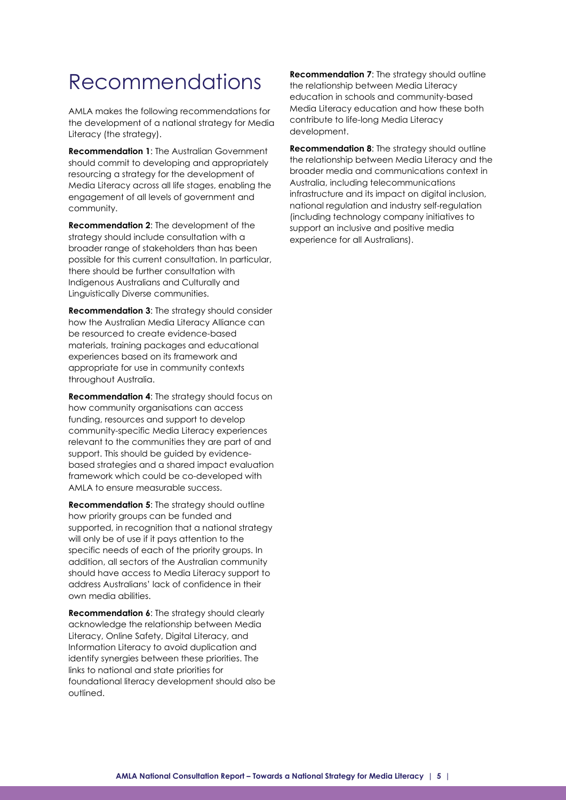## <span id="page-4-0"></span>Recommendations

AMLA makes the following recommendations for the development of a national strategy for Media Literacy (the strategy).

**Recommendation 1**: The Australian Government should commit to developing and appropriately resourcing a strategy for the development of Media Literacy across all life stages, enabling the engagement of all levels of government and community.

**Recommendation 2**: The development of the strategy should include consultation with a broader range of stakeholders than has been possible for this current consultation. In particular, there should be further consultation with Indigenous Australians and Culturally and Linguistically Diverse communities.

**Recommendation 3**: The strategy should consider how the Australian Media Literacy Alliance can be resourced to create evidence-based materials, training packages and educational experiences based on its framework and appropriate for use in community contexts throughout Australia.

**Recommendation 4**: The strategy should focus on how community organisations can access funding, resources and support to develop community-specific Media Literacy experiences relevant to the communities they are part of and support. This should be guided by evidencebased strategies and a shared impact evaluation framework which could be co-developed with AMLA to ensure measurable success.

**Recommendation 5**: The strategy should outline how priority groups can be funded and supported, in recognition that a national strategy will only be of use if it pays attention to the specific needs of each of the priority groups. In addition, all sectors of the Australian community should have access to Media Literacy support to address Australians' lack of confidence in their own media abilities.

**Recommendation 6:** The strategy should clearly acknowledge the relationship between Media Literacy, Online Safety, Digital Literacy, and Information Literacy to avoid duplication and identify synergies between these priorities. The links to national and state priorities for foundational literacy development should also be outlined.

**Recommendation 7**: The strategy should outline the relationship between Media Literacy education in schools and community-based Media Literacy education and how these both contribute to life-long Media Literacy development.

**Recommendation 8**: The strategy should outline the relationship between Media Literacy and the broader media and communications context in Australia, including telecommunications infrastructure and its impact on digital inclusion, national regulation and industry self-regulation (including technology company initiatives to support an inclusive and positive media experience for all Australians).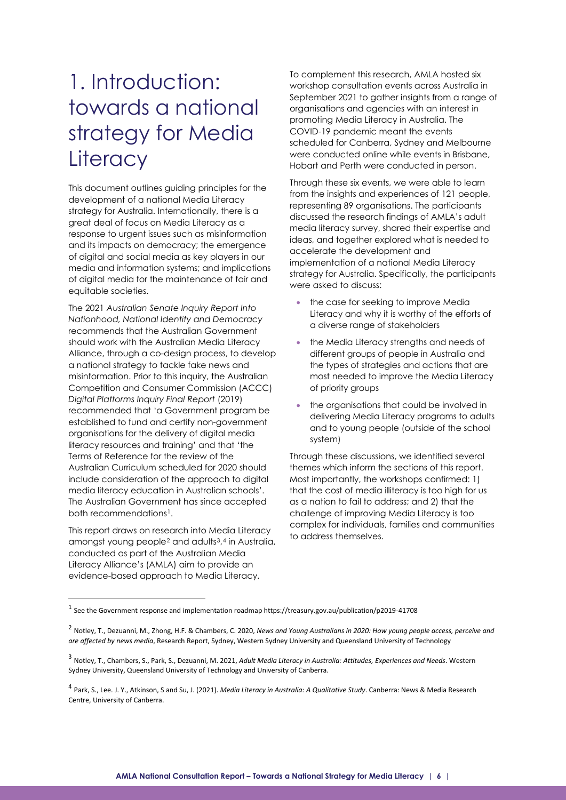# <span id="page-5-0"></span>1. Introduction: towards a national strategy for Media **Literacy**

This document outlines guiding principles for the development of a national Media Literacy strategy for Australia. Internationally, there is a great deal of focus on Media Literacy as a response to urgent issues such as misinformation and its impacts on democracy; the emergence of digital and social media as key players in our media and information systems; and implications of digital media for the maintenance of fair and equitable societies.

The 2021 *Australian Senate Inquiry Report Into Nationhood, National Identity and Democracy*  recommends that the Australian Government should work with the Australian Media Literacy Alliance, through a co-design process, to develop a national strategy to tackle fake news and misinformation. Prior to this inquiry, the Australian Competition and Consumer Commission (ACCC) *Digital Platforms Inquiry Final Report* (2019) recommended that 'a Government program be established to fund and certify non-government organisations for the delivery of digital media literacy resources and training' and that 'the Terms of Reference for the review of the Australian Curriculum scheduled for 2020 should include consideration of the approach to digital media literacy education in Australian schools'. The Australian Government has since accepted both recommendations<sup>[1](#page-5-1)</sup>.

This report draws on research into Media Literacy amongst young people<sup>2</sup> and adults<sup>3</sup>,<sup>[4](#page-5-4)</sup> in Australia, conducted as part of the Australian Media Literacy Alliance's (AMLA) aim to provide an evidence-based approach to Media Literacy.

To complement this research, AMLA hosted six workshop consultation events across Australia in September 2021 to gather insights from a range of organisations and agencies with an interest in promoting Media Literacy in Australia. The COVID-19 pandemic meant the events scheduled for Canberra, Sydney and Melbourne were conducted online while events in Brisbane, Hobart and Perth were conducted in person.

Through these six events, we were able to learn from the insights and experiences of 121 people, representing 89 organisations. The participants discussed the research findings of AMLA's [adult](https://apo.org.au/node/311802)  [media literacy survey,](https://apo.org.au/node/311802) shared their expertise and ideas, and together explored what is needed to accelerate the development and implementation of a national Media Literacy strategy for Australia. Specifically, the participants were asked to discuss:

- the case for seeking to improve Media Literacy and why it is worthy of the efforts of a diverse range of stakeholders
- the Media Literacy strengths and needs of different groups of people in Australia and the types of strategies and actions that are most needed to improve the Media Literacy of priority groups
- the organisations that could be involved in delivering Media Literacy programs to adults and to young people (outside of the school system)

Through these discussions, we identified several themes which inform the sections of this report. Most importantly, the workshops confirmed: 1) that the cost of media illiteracy is too high for us as a nation to fail to address; and 2) that the challenge of improving Media Literacy is too complex for individuals, families and communities to address themselves.

<span id="page-5-1"></span><sup>1</sup> See the Government response and implementation roadmap https://treasury.gov.au/publication/p2019-41708

<span id="page-5-2"></span><sup>2</sup> Notley, T., Dezuanni, M., Zhong, H.F. & Chambers, C. 2020, *News and Young Australians in 2020: How young people access, perceive and are affected by news media*, Research Report, Sydney, Western Sydney University and Queensland University of Technology

<span id="page-5-3"></span><sup>3</sup> Notley, T., Chambers, S., Park, S., Dezuanni, M. 2021, *Adult Media Literacy in Australia: Attitudes, Experiences and Needs*. Western Sydney University, Queensland University of Technology and University of Canberra.

<span id="page-5-4"></span><sup>4</sup> Park, S., Lee. J. Y., Atkinson, S and Su, J. (2021). *Media Literacy in Australia: A Qualitative Study*. Canberra: News & Media Research Centre, University of Canberra.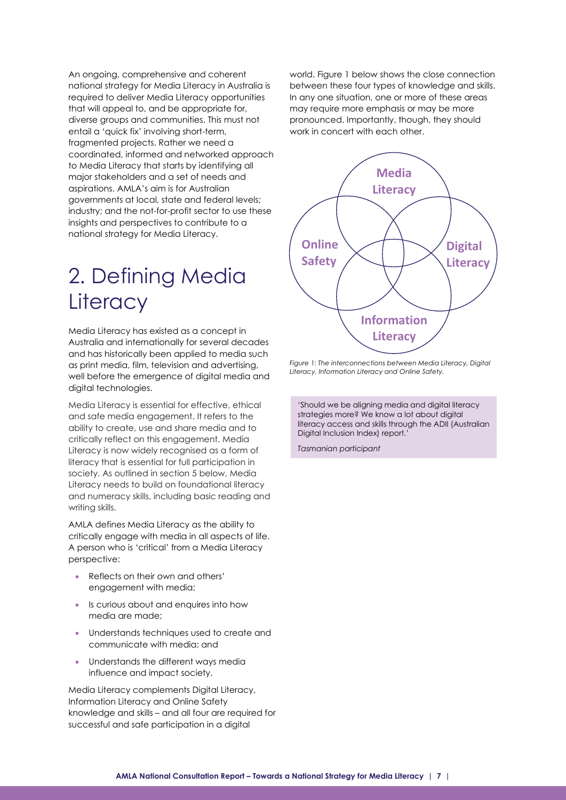An ongoing, comprehensive and coherent national strategy for Media Literacy in Australia is required to deliver Media Literacy opportunities that will appeal to, and be appropriate for, diverse groups and communities. This must not entail a 'quick fix' involving short-term, fragmented projects. Rather we need a coordinated, informed and networked approach to Media Literacy that starts by identifying all major stakeholders and a set of needs and aspirations. AMLA's aim is for Australian governments at local, state and federal levels; industry; and the not-for-profit sector to use these insights and perspectives to contribute to a national strategy for Media Literacy.

# <span id="page-6-0"></span>2. Defining Media **Literacy**

Media Literacy has existed as a concept in Australia and internationally for several decades and has historically been applied to media such as print media, film, television and advertising, well before the emergence of digital media and digital technologies.

Media Literacy is essential for effective, ethical and safe media engagement. It refers to the ability to create, use and share media and to critically reflect on this engagement. Media Literacy is now widely recognised as a form of literacy that is essential for full participation in society. As outlined in section 5 below, Media Literacy needs to build on foundational literacy and numeracy skills, including basic reading and writing skills.

AMLA defines Media Literacy as the ability to critically engage with media in all aspects of life. A person who is 'critical' from a Media Literacy perspective:

- Reflects on their own and others' engagement with media;
- Is curious about and enquires into how media are made;
- Understands techniques used to create and communicate with media; and
- Understands the different ways media influence and impact society.

Media Literacy complements Digital Literacy, Information Literacy and Online Safety knowledge and skills – and all four are required for successful and safe participation in a digital

world. Figure 1 below shows the close connection between these four types of knowledge and skills. In any one situation, one or more of these areas may require more emphasis or may be more pronounced. Importantly, though, they should work in concert with each other.



*Figure 1: The interconnections between Media Literacy, Digital Literacy, Information Literacy and Online Safety.*

'Should we be aligning media and digital literacy strategies more? We know a lot about digital literacy access and skills through the ADII (Australian Digital Inclusion Index) report.'

*Tasmanian participant*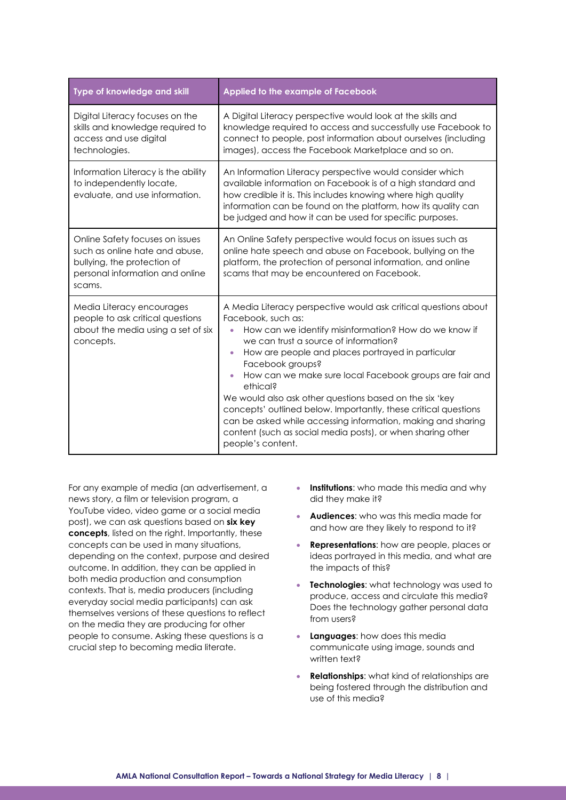| Type of knowledge and skill                                                                                                                   | Applied to the example of Facebook                                                                                                                                                                                                                                                                                                                                                                                                                                                                                                                                                                                                     |  |
|-----------------------------------------------------------------------------------------------------------------------------------------------|----------------------------------------------------------------------------------------------------------------------------------------------------------------------------------------------------------------------------------------------------------------------------------------------------------------------------------------------------------------------------------------------------------------------------------------------------------------------------------------------------------------------------------------------------------------------------------------------------------------------------------------|--|
| Digital Literacy focuses on the<br>skills and knowledge required to<br>access and use digital<br>technologies.                                | A Digital Literacy perspective would look at the skills and<br>knowledge required to access and successfully use Facebook to<br>connect to people, post information about ourselves (including<br>images), access the Facebook Marketplace and so on.                                                                                                                                                                                                                                                                                                                                                                                  |  |
| Information Literacy is the ability<br>to independently locate,<br>evaluate, and use information.                                             | An Information Literacy perspective would consider which<br>available information on Facebook is of a high standard and<br>how credible it is. This includes knowing where high quality<br>information can be found on the platform, how its quality can<br>be judged and how it can be used for specific purposes.                                                                                                                                                                                                                                                                                                                    |  |
| Online Safety focuses on issues<br>such as online hate and abuse.<br>bullying, the protection of<br>personal information and online<br>scams. | An Online Safety perspective would focus on issues such as<br>online hate speech and abuse on Facebook, bullying on the<br>platform, the protection of personal information, and online<br>scams that may be encountered on Facebook.                                                                                                                                                                                                                                                                                                                                                                                                  |  |
| Media Literacy encourages<br>people to ask critical questions<br>about the media using a set of six<br>concepts.                              | A Media Literacy perspective would ask critical questions about<br>Facebook, such as:<br>How can we identify misinformation? How do we know if<br>we can trust a source of information?<br>How are people and places portrayed in particular<br>$\bullet$<br>Facebook groups?<br>How can we make sure local Facebook groups are fair and<br>ethical?<br>We would also ask other questions based on the six 'key<br>concepts' outlined below. Importantly, these critical questions<br>can be asked while accessing information, making and sharing<br>content (such as social media posts), or when sharing other<br>people's content. |  |

For any example of media (an advertisement, a news story, a film or television program, a YouTube video, video game or a social media post), we can ask questions based on **six key concepts**, listed on the right. Importantly, these concepts can be used in many situations, depending on the context, purpose and desired outcome. In addition, they can be applied in both media production and consumption contexts. That is, media producers (including everyday social media participants) can ask themselves versions of these questions to reflect on the media they are producing for other people to consume. Asking these questions is a crucial step to becoming media literate.

- **Institutions**: who made this media and why did they make it?
- **Audiences**: who was this media made for and how are they likely to respond to it?
- **Representations**: how are people, places or ideas portrayed in this media, and what are the impacts of this?
- **Technologies**: what technology was used to produce, access and circulate this media? Does the technology gather personal data from users?
- **Languages**: how does this media communicate using image, sounds and written text?
- **Relationships**: what kind of relationships are being fostered through the distribution and use of this media?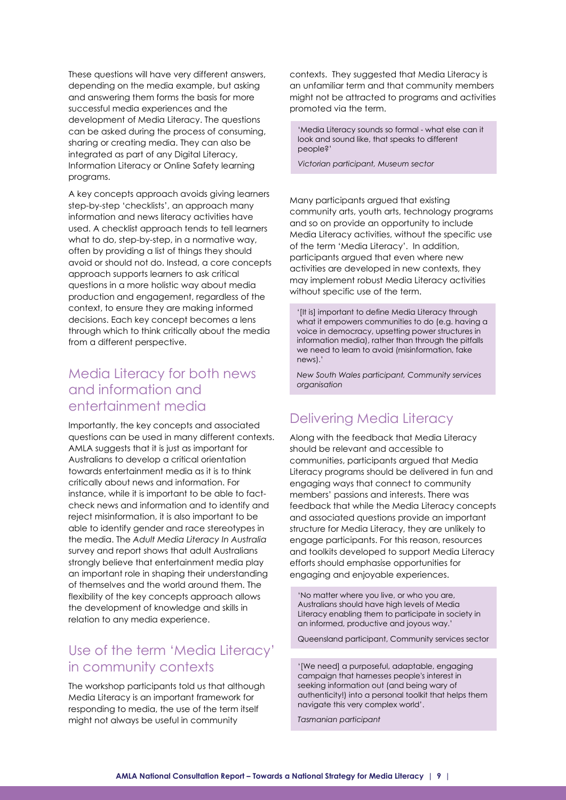These questions will have very different answers, depending on the media example, but asking and answering them forms the basis for more successful media experiences and the development of Media Literacy. The questions can be asked during the process of consuming, sharing or creating media. They can also be integrated as part of any Digital Literacy, Information Literacy or Online Safety learning programs.

A key concepts approach avoids giving learners step-by-step 'checklists', an approach many information and news literacy activities have used. A checklist approach tends to tell learners what to do, step-by-step, in a normative way, often by providing a list of things they should avoid or should not do. Instead, a core concepts approach supports learners to ask critical questions in a more holistic way about media production and engagement, regardless of the context, to ensure they are making informed decisions. Each key concept becomes a lens through which to think critically about the media from a different perspective.

### Media Literacy for both news and information and entertainment media

Importantly, the key concepts and associated questions can be used in many different contexts. AMLA suggests that it is just as important for Australians to develop a critical orientation towards entertainment media as it is to think critically about news and information. For instance, while it is important to be able to factcheck news and information and to identify and reject misinformation, it is also important to be able to identify gender and race stereotypes in the media. The *Adult Media Literacy In Australia* survey and report shows that adult Australians strongly believe that entertainment media play an important role in shaping their understanding of themselves and the world around them. The flexibility of the key concepts approach allows the development of knowledge and skills in relation to any media experience.

### Use of the term 'Media Literacy' in community contexts

The workshop participants told us that although Media Literacy is an important framework for responding to media, the use of the term itself might not always be useful in community

contexts. They suggested that Media Literacy is an unfamiliar term and that community members might not be attracted to programs and activities promoted via the term.

'Media Literacy sounds so formal - what else can it look and sound like, that speaks to different people?'

*Victorian participant, Museum sector*

Many participants argued that existing community arts, youth arts, technology programs and so on provide an opportunity to include Media Literacy activities, without the specific use of the term 'Media Literacy'. In addition, participants argued that even where new activities are developed in new contexts, they may implement robust Media Literacy activities without specific use of the term.

'[It is] important to define Media Literacy through what it empowers communities to do (e.g. having a voice in democracy, upsetting power structures in information media), rather than through the pitfalls we need to learn to avoid (misinformation, fake news).'

*New South Wales participant, Community services organisation*

#### Delivering Media Literacy

Along with the feedback that Media Literacy should be relevant and accessible to communities, participants argued that Media Literacy programs should be delivered in fun and engaging ways that connect to community members' passions and interests. There was feedback that while the Media Literacy concepts and associated questions provide an important structure for Media Literacy, they are unlikely to engage participants. For this reason, resources and toolkits developed to support Media Literacy efforts should emphasise opportunities for engaging and enjoyable experiences.

'No matter where you live, or who you are, Australians should have high levels of Media Literacy enabling them to participate in society in an informed, productive and joyous way.'

Queensland participant, Community services sector

'[We need] a purposeful, adaptable, engaging campaign that harnesses people's interest in seeking information out (and being wary of authenticity!) into a personal toolkit that helps them navigate this very complex world'.

*Tasmanian participant*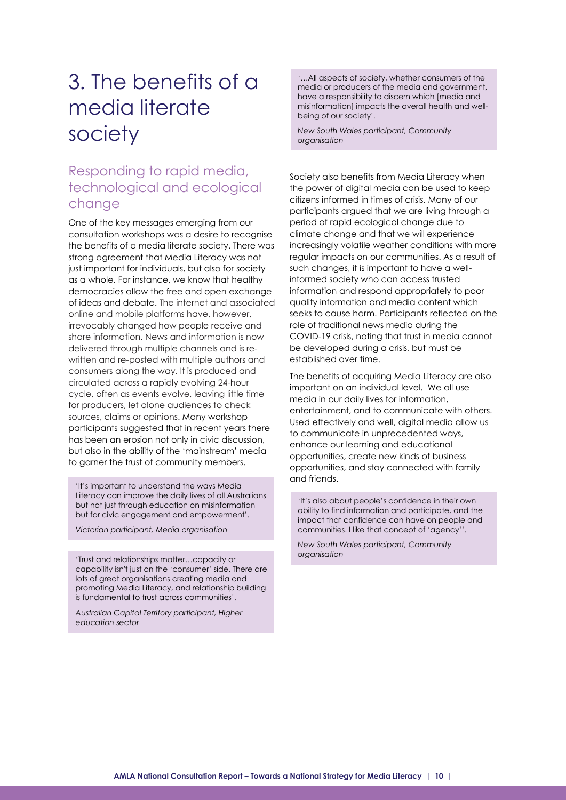# <span id="page-9-0"></span>3. The benefits of a media literate society

### Responding to rapid media, technological and ecological change

One of the key messages emerging from our consultation workshops was a desire to recognise the benefits of a media literate society. There was strong agreement that Media Literacy was not just important for individuals, but also for society as a whole. For instance, we know that healthy democracies allow the free and open exchange of ideas and debate. The internet and associated online and mobile platforms have, however, irrevocably changed how people receive and share information. News and information is now delivered through multiple channels and is rewritten and re-posted with multiple authors and consumers along the way. It is produced and circulated across a rapidly evolving 24-hour cycle, often as events evolve, leaving little time for producers, let alone audiences to check sources, claims or opinions. Many workshop participants suggested that in recent years there has been an erosion not only in civic discussion, but also in the ability of the 'mainstream' media to garner the trust of community members.

'It's important to understand the ways Media Literacy can improve the daily lives of all Australians but not just through education on misinformation but for civic engagement and empowerment'.

*Victorian participant, Media organisation*

'Trust and relationships matter…capacity or capability isn't just on the 'consumer' side. There are lots of great organisations creating media and promoting Media Literacy, and relationship building is fundamental to trust across communities'.

*Australian Capital Territory participant, Higher education sector*

'…All aspects of society, whether consumers of the media or producers of the media and government, have a responsibility to discern which [media and misinformation] impacts the overall health and wellbeing of our society'.

*New South Wales participant, Community organisation*

Society also benefits from Media Literacy when the power of digital media can be used to keep citizens informed in times of crisis. Many of our participants argued that we are living through a period of rapid ecological change due to climate change and that we will experience increasingly volatile weather conditions with more regular impacts on our communities. As a result of such changes, it is important to have a wellinformed society who can access trusted information and respond appropriately to poor quality information and media content which seeks to cause harm. Participants reflected on the role of traditional news media during the COVID-19 crisis, noting that trust in media cannot be developed during a crisis, but must be established over time.

The benefits of acquiring Media Literacy are also important on an individual level. We all use media in our daily lives for information, entertainment, and to communicate with others. Used effectively and well, digital media allow us to communicate in unprecedented ways, enhance our learning and educational opportunities, create new kinds of business opportunities, and stay connected with family and friends.

'It's also about people's confidence in their own ability to find information and participate, and the impact that confidence can have on people and communities. I like that concept of 'agency''.

*New South Wales participant, Community organisation*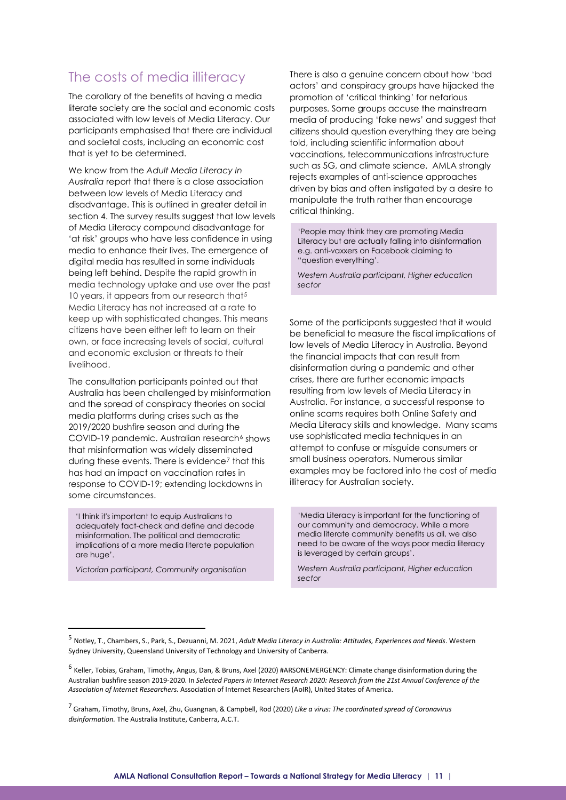### The costs of media illiteracy

The corollary of the benefits of having a media literate society are the social and economic costs associated with low levels of Media Literacy. Our participants emphasised that there are individual and societal costs, including an economic cost that is yet to be determined.

We know from the *Adult Media Literacy In Australia* report that there is a close association between low levels of Media Literacy and disadvantage. This is outlined in greater detail in section 4. The survey results suggest that low levels of Media Literacy compound disadvantage for 'at risk' groups who have less confidence in using media to enhance their lives. The emergence of digital media has resulted in some individuals being left behind. Despite the rapid growth in media technology uptake and use over the past 10 years, it appears from our research that<sup>[5](#page-10-0)</sup> Media Literacy has not increased at a rate to keep up with sophisticated changes. This means citizens have been either left to learn on their own, or face increasing levels of social, cultural and economic exclusion or threats to their livelihood.

The consultation participants pointed out that Australia has been challenged by misinformation and the spread of conspiracy theories on social media platforms during crises such as the 2019/2020 bushfire season and during the COVID-19 pandemic. Australian research<sup>[6](#page-10-1)</sup> shows that misinformation was widely disseminated during these events. There is evidence<sup>[7](#page-10-2)</sup> that this has had an impact on vaccination rates in response to COVID-19; extending lockdowns in some circumstances.

'I think it's important to equip Australians to adequately fact-check and define and decode misinformation. The political and democratic implications of a more media literate population are huge'.

*Victorian participant, Community organisation*

There is also a genuine concern about how 'bad actors' and conspiracy groups have hijacked the promotion of 'critical thinking' for nefarious purposes. Some groups accuse the mainstream media of producing 'fake news' and suggest that citizens should question everything they are being told, including scientific information about vaccinations, telecommunications infrastructure such as 5G, and climate science. AMLA strongly rejects examples of anti-science approaches driven by bias and often instigated by a desire to manipulate the truth rather than encourage critical thinking.

'People may think they are promoting Media Literacy but are actually falling into disinformation e.g. anti-vaxxers on Facebook claiming to "question everything'.

*Western Australia participant, Higher education sector*

Some of the participants suggested that it would be beneficial to measure the fiscal implications of low levels of Media Literacy in Australia. Beyond the financial impacts that can result from disinformation during a pandemic and other crises, there are further economic impacts resulting from low levels of Media Literacy in Australia. For instance, a successful response to online scams requires both Online Safety and Media Literacy skills and knowledge. Many scams use sophisticated media techniques in an attempt to confuse or misguide consumers or small business operators. Numerous similar examples may be factored into the cost of media illiteracy for Australian society.

'Media Literacy is important for the functioning of our community and democracy. While a more media literate community benefits us all, we also need to be aware of the ways poor media literacy is leveraged by certain groups'.

*Western Australia participant, Higher education sector*

<span id="page-10-0"></span><sup>5</sup> Notley, T., Chambers, S., Park, S., Dezuanni, M. 2021, *Adult Media Literacy in Australia: Attitudes, Experiences and Needs*. Western Sydney University, Queensland University of Technology and University of Canberra.

<span id="page-10-1"></span> $6$  Keller, Tobias, Graham, Timothy, Angus, Dan, & Bruns, Axel (2020) #ARSONEMERGENCY: Climate change disinformation during the [Australian bushfire season 2019-2020.](https://eprints.qut.edu.au/209942/) In *Selected Papers in Internet Research 2020: Research from the 21st Annual Conference of the Association of Internet Researchers.* Association of Internet Researchers (AoIR), United States of America.

<span id="page-10-2"></span><sup>7</sup> Graham, Timothy, Bruns, Axel, Zhu, Guangnan, & Campbell, Rod (2020) *Like a virus: [The coordinated spread of Coronavirus](https://eprints.qut.edu.au/202960/)  [disinformation.](https://eprints.qut.edu.au/202960/)* The Australia Institute, Canberra, A.C.T.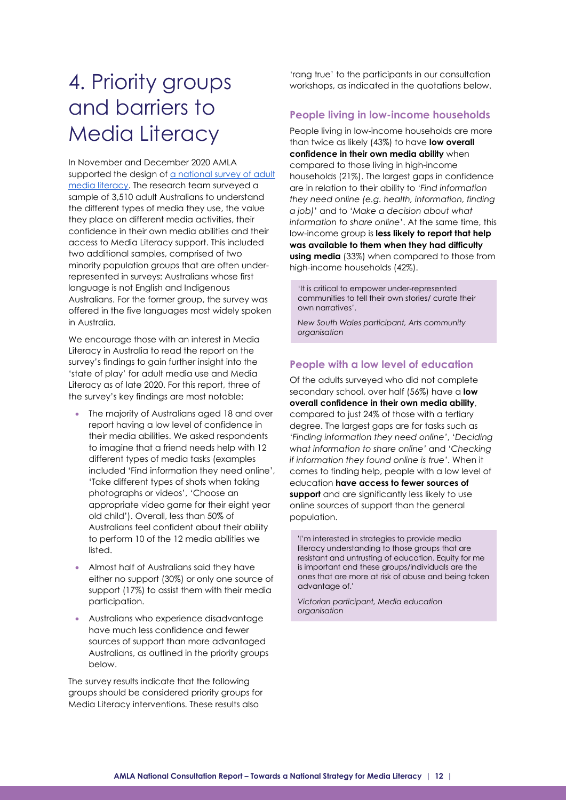# <span id="page-11-0"></span>4. Priority groups and barriers to Media Literacy

In November and December 2020 AMLA supported the design of [a national survey of adult](https://apo.org.au/node/311802)  [media literacy.](https://apo.org.au/node/311802) The research team surveyed a sample of 3,510 adult Australians to understand the different types of media they use, the value they place on different media activities, their confidence in their own media abilities and their access to Media Literacy support. This included two additional samples, comprised of two minority population groups that are often underrepresented in surveys: Australians whose first language is not English and Indigenous Australians. For the former group, the survey was offered in the five languages most widely spoken in Australia.

We encourage those with an interest in Media Literacy in Australia to read the report on the survey's findings to gain further insight into the 'state of play' for adult media use and Media Literacy as of late 2020. For this report, three of the survey's key findings are most notable:

- The majority of Australians aged 18 and over report having a low level of confidence in their media abilities. We asked respondents to imagine that a friend needs help with 12 different types of media tasks (examples included 'Find information they need online', 'Take different types of shots when taking photographs or videos', 'Choose an appropriate video game for their eight year old child'). Overall, less than 50% of Australians feel confident about their ability to perform 10 of the 12 media abilities we listed.
- Almost half of Australians said they have either no support (30%) or only one source of support (17%) to assist them with their media participation.
- Australians who experience disadvantage have much less confidence and fewer sources of support than more advantaged Australians, as outlined in the priority groups below.

The survey results indicate that the following groups should be considered priority groups for Media Literacy interventions. These results also

'rang true' to the participants in our consultation workshops, as indicated in the quotations below.

#### **People living in low-income households**

People living in low-income households are more than twice as likely (43%) to have **low overall confidence in their own media ability** when compared to those living in high-income households (21%). The largest gaps in confidence are in relation to their ability to '*Find information they need online (e.g. health, information, finding a job)*' and to '*Make a decision about what information to share online*'. At the same time, this low-income group is **less likely to report that help was available to them when they had difficulty using media** (33%) when compared to those from high-income households (42%).

'It is critical to empower under-represented communities to tell their own stories/ curate their own narratives'.

*New South Wales participant, Arts community organisation*

#### **People with a low level of education**

Of the adults surveyed who did not complete secondary school, over half (56%) have a **low overall confidence in their own media ability**, compared to just 24% of those with a tertiary degree. The largest gaps are for tasks such as '*Finding information they need online'*, '*Deciding what information to share online'* and '*Checking if information they found online is true'*. When it comes to finding help, people with a low level of education **have access to fewer sources of support** and are significantly less likely to use online sources of support than the general population.

'I'm interested in strategies to provide media literacy understanding to those groups that are resistant and untrusting of education. Equity for me is important and these groups/individuals are the ones that are more at risk of abuse and being taken advantage of.'

*Victorian participant, Media education organisation*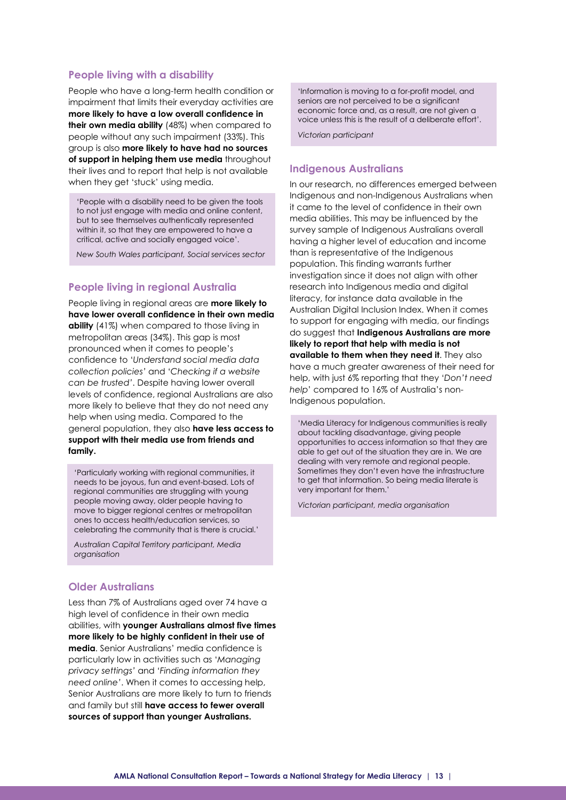#### **People living with a disability**

People who have a long-term health condition or impairment that limits their everyday activities are **more likely to have a low overall confidence in their own media ability** (48%) when compared to people without any such impairment (33%). This group is also **more likely to have had no sources of support in helping them use media** throughout their lives and to report that help is not available when they get 'stuck' using media.

'People with a disability need to be given the tools to not just engage with media and online content, but to see themselves authentically represented within it, so that they are empowered to have a critical, active and socially engaged voice'.

*New South Wales participant, Social services sector*

#### **People living in regional Australia**

People living in regional areas are **more likely to have lower overall confidence in their own media ability** (41%) when compared to those living in metropolitan areas (34%). This gap is most pronounced when it comes to people's confidence to '*Understand social media data collection policies'* and '*Checking if a website can be trusted'*. Despite having lower overall levels of confidence, regional Australians are also more likely to believe that they do not need any help when using media. Compared to the general population, they also **have less access to support with their media use from friends and family.**

'Particularly working with regional communities, it needs to be joyous, fun and event-based. Lots of regional communities are struggling with young people moving away, older people having to move to bigger regional centres or metropolitan ones to access health/education services, so celebrating the community that is there is crucial.'

*Australian Capital Territory participant, Media organisation*

#### **Older Australians**

Less than 7% of Australians aged over 74 have a high level of confidence in their own media abilities, with **younger Australians almost five times more likely to be highly confident in their use of media**. Senior Australians' media confidence is particularly low in activities such as '*Managing privacy settings'* and '*Finding information they need online'*. When it comes to accessing help, Senior Australians are more likely to turn to friends and family but still **have access to fewer overall sources of support than younger Australians.**

'Information is moving to a for-profit model, and seniors are not perceived to be a significant economic force and, as a result, are not given a voice unless this is the result of a deliberate effort'.

*Victorian participant*

#### **Indigenous Australians**

In our research, no differences emerged between Indigenous and non-Indigenous Australians when it came to the level of confidence in their own media abilities. This may be influenced by the survey sample of Indigenous Australians overall having a higher level of education and income than is representative of the Indigenous population. This finding warrants further investigation since it does not align with other research into Indigenous media and digital literacy, for instance data available in the Australian Digital Inclusion Index. When it comes to support for engaging with media, our findings do suggest that **Indigenous Australians are more likely to report that help with media is not available to them when they need it**. They also have a much greater awareness of their need for help, with just 6% reporting that they '*Don't need help*' compared to 16% of Australia's non-Indigenous population.

'Media Literacy for Indigenous communities is really about tackling disadvantage, giving people opportunities to access information so that they are able to get out of the situation they are in. We are dealing with very remote and regional people. Sometimes they don't even have the infrastructure to get that information. So being media literate is very important for them.'

*Victorian participant, media organisation*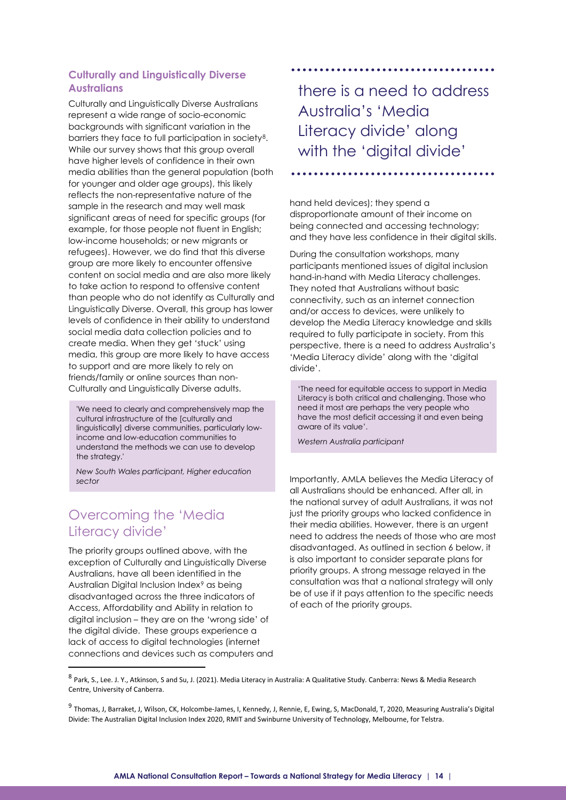#### **Culturally and Linguistically Diverse Australians**

Culturally and Linguistically Diverse Australians represent a wide range of socio-economic backgrounds with significant variation in the barriers they face to full participation in society[8.](#page-13-0) While our survey shows that this group overall have higher levels of confidence in their own media abilities than the general population (both for younger and older age groups), this likely reflects the non-representative nature of the sample in the research and may well mask significant areas of need for specific groups (for example, for those people not fluent in English; low-income households; or new migrants or refugees). However, we do find that this diverse group are more likely to encounter offensive content on social media and are also more likely to take action to respond to offensive content than people who do not identify as Culturally and Linguistically Diverse. Overall, this group has lower levels of confidence in their ability to understand social media data collection policies and to create media. When they get 'stuck' using media, this group are more likely to have access to support and are more likely to rely on friends/family or online sources than non-Culturally and Linguistically Diverse adults.

'We need to clearly and comprehensively map the cultural infrastructure of the [culturally and linguistically] diverse communities, particularly lowincome and low-education communities to understand the methods we can use to develop the strategy.'

*New South Wales participant, Higher education sector*

### Overcoming the 'Media Literacy divide'

The priority groups outlined above, with the exception of Culturally and Linguistically Diverse Australians, have all been identified in the Australian Digital Inclusion Index[9](#page-13-1) as being disadvantaged across the three indicators of Access, Affordability and Ability in relation to digital inclusion – they are on the 'wrong side' of the digital divide. These groups experience a lack of access to digital technologies (internet connections and devices such as computers and there is a need to address Australia's 'Media Literacy divide' along with the 'digital divide'

hand held devices); they spend a disproportionate amount of their income on being connected and accessing technology; and they have less confidence in their digital skills.

During the consultation workshops, many participants mentioned issues of digital inclusion hand-in-hand with Media Literacy challenges. They noted that Australians without basic connectivity, such as an internet connection and/or access to devices, were unlikely to develop the Media Literacy knowledge and skills required to fully participate in society. From this perspective, there is a need to address Australia's 'Media Literacy divide' along with the 'digital divide'.

'The need for equitable access to support in Media Literacy is both critical and challenging. Those who need it most are perhaps the very people who have the most deficit accessing it and even being aware of its value'.

*Western Australia participant*

Importantly, AMLA believes the Media Literacy of all Australians should be enhanced. After all, in the national survey of adult Australians, it was not just the priority groups who lacked confidence in their media abilities. However, there is an urgent need to address the needs of those who are most disadvantaged. As outlined in section 6 below, it is also important to consider separate plans for priority groups. A strong message relayed in the consultation was that a national strategy will only be of use if it pays attention to the specific needs of each of the priority groups.

<span id="page-13-0"></span><sup>8</sup> Park, S., Lee. J. Y., Atkinson, S and Su, J. (2021). Media Literacy in Australia: A Qualitative Study. Canberra: News & Media Research Centre, University of Canberra.

<span id="page-13-1"></span><sup>9</sup> Thomas, J, Barraket, J, Wilson, CK, Holcombe-James, I, Kennedy, J, Rennie, E, Ewing, S, MacDonald, T, 2020, Measuring Australia's Digital Divide: The Australian Digital Inclusion Index 2020, RMIT and Swinburne University of Technology, Melbourne, for Telstra.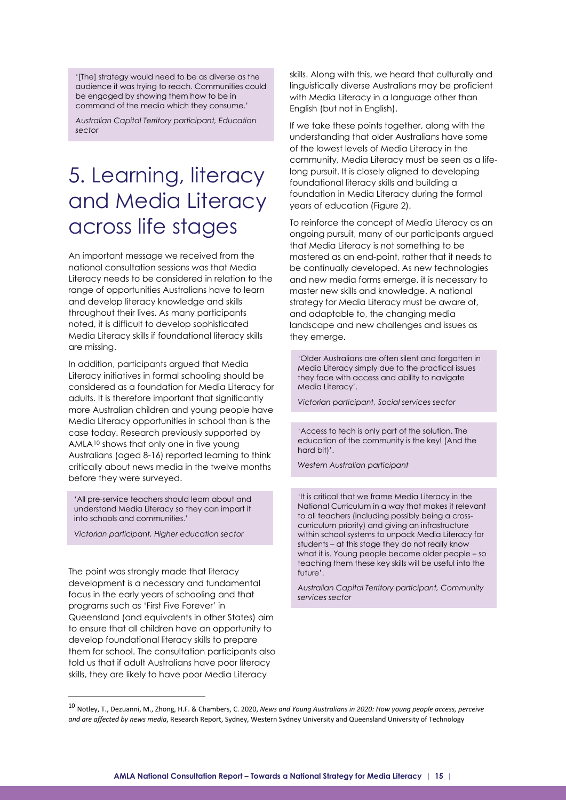'[The] strategy would need to be as diverse as the audience it was trying to reach. Communities could be engaged by showing them how to be in command of the media which they consume.'

*Australian Capital Territory participant, Education sector*

# <span id="page-14-0"></span>5. Learning, literacy and Media Literacy across life stages

An important message we received from the national consultation sessions was that Media Literacy needs to be considered in relation to the range of opportunities Australians have to learn and develop literacy knowledge and skills throughout their lives. As many participants noted, it is difficult to develop sophisticated Media Literacy skills if foundational literacy skills are missing.

In addition, participants argued that Media Literacy initiatives in formal schooling should be considered as a foundation for Media Literacy for adults. It is therefore important that significantly more Australian children and young people have Media Literacy opportunities in school than is the case today. Research previously supported by AMLA[10](#page-14-1) shows that only one in five young Australians (aged 8-16) reported learning to think critically about news media in the twelve months before they were surveyed.

'All pre-service teachers should learn about and understand Media Literacy so they can impart it into schools and communities.'

*Victorian participant, Higher education sector*

The point was strongly made that literacy development is a necessary and fundamental focus in the early years of schooling and that programs such as 'First Five Forever' in Queensland (and equivalents in other States) aim to ensure that all children have an opportunity to develop foundational literacy skills to prepare them for school. The consultation participants also told us that if adult Australians have poor literacy skills, they are likely to have poor Media Literacy

skills. Along with this, we heard that culturally and linguistically diverse Australians may be proficient with Media Literacy in a language other than English (but not in English).

If we take these points together, along with the understanding that older Australians have some of the lowest levels of Media Literacy in the community, Media Literacy must be seen as a lifelong pursuit. It is closely aligned to developing foundational literacy skills and building a foundation in Media Literacy during the formal years of education (Figure 2).

To reinforce the concept of Media Literacy as an ongoing pursuit, many of our participants argued that Media Literacy is not something to be mastered as an end-point, rather that it needs to be continually developed. As new technologies and new media forms emerge, it is necessary to master new skills and knowledge. A national strategy for Media Literacy must be aware of, and adaptable to, the changing media landscape and new challenges and issues as they emerge.

'Older Australians are often silent and forgotten in Media Literacy simply due to the practical issues they face with access and ability to navigate Media Literacy'.

*Victorian participant, Social services sector*

'Access to tech is only part of the solution. The education of the community is the key! (And the hard bit)'.

*Western Australian participant*

'It is critical that we frame Media Literacy in the National Curriculum in a way that makes it relevant to all teachers (including possibly being a crosscurriculum priority) and giving an infrastructure within school systems to unpack Media Literacy for students – at this stage they do not really know what it is. Young people become older people – so teaching them these key skills will be useful into the future'.

*Australian Capital Territory participant, Community services sector*

<span id="page-14-1"></span><sup>10</sup> Notley, T., Dezuanni, M., Zhong, H.F. & Chambers, C. 2020, *News and Young Australians in 2020: How young people access, perceive and are affected by news media*, Research Report, Sydney, Western Sydney University and Queensland University of Technology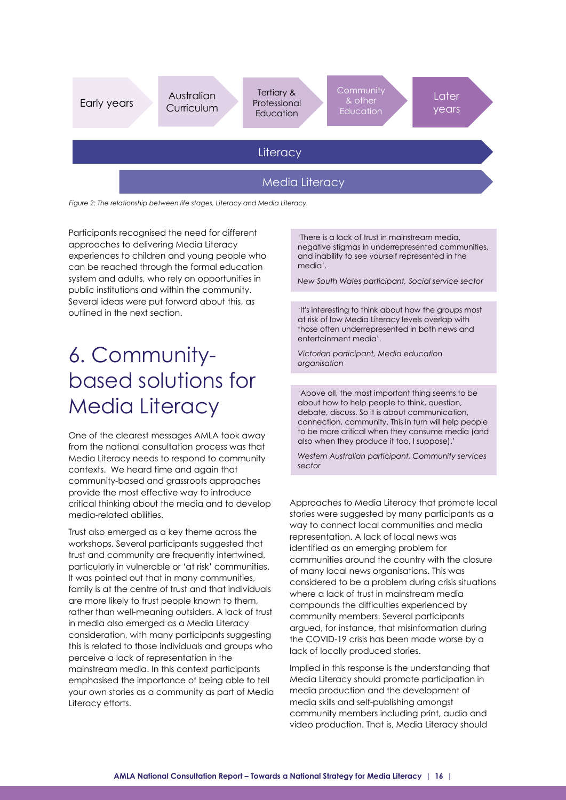

*Figure 2: The relationship between life stages, Literacy and Media Literacy.*

Participants recognised the need for different approaches to delivering Media Literacy experiences to children and young people who can be reached through the formal education system and adults, who rely on opportunities in public institutions and within the community. Several ideas were put forward about this, as outlined in the next section.

# <span id="page-15-0"></span>6. Communitybased solutions for Media Literacy

One of the clearest messages AMLA took away from the national consultation process was that Media Literacy needs to respond to community contexts. We heard time and again that community-based and grassroots approaches provide the most effective way to introduce critical thinking about the media and to develop media-related abilities.

Trust also emerged as a key theme across the workshops. Several participants suggested that trust and community are frequently intertwined, particularly in vulnerable or 'at risk' communities. It was pointed out that in many communities, family is at the centre of trust and that individuals are more likely to trust people known to them, rather than well-meaning outsiders. A lack of trust in media also emerged as a Media Literacy consideration, with many participants suggesting this is related to those individuals and groups who perceive a lack of representation in the mainstream media. In this context participants emphasised the importance of being able to tell your own stories as a community as part of Media Literacy efforts.

'There is a lack of trust in mainstream media, negative stigmas in underrepresented communities, and inability to see yourself represented in the media'.

*New South Wales participant, Social service sector*

'It's interesting to think about how the groups most at risk of low Media Literacy levels overlap with those often underrepresented in both news and entertainment media'.

*Victorian participant, Media education organisation*

'Above all, the most important thing seems to be about how to help people to think, question, debate, discuss. So it is about communication, connection, community. This in turn will help people to be more critical when they consume media (and also when they produce it too, I suppose).'

*Western Australian participant, Community services sector*

Approaches to Media Literacy that promote local stories were suggested by many participants as a way to connect local communities and media representation. A lack of local news was identified as an emerging problem for communities around the country with the closure of many local news organisations. This was considered to be a problem during crisis situations where a lack of trust in mainstream media compounds the difficulties experienced by community members. Several participants argued, for instance, that misinformation during the COVID-19 crisis has been made worse by a lack of locally produced stories.

Implied in this response is the understanding that Media Literacy should promote participation in media production and the development of media skills and self-publishing amongst community members including print, audio and video production. That is, Media Literacy should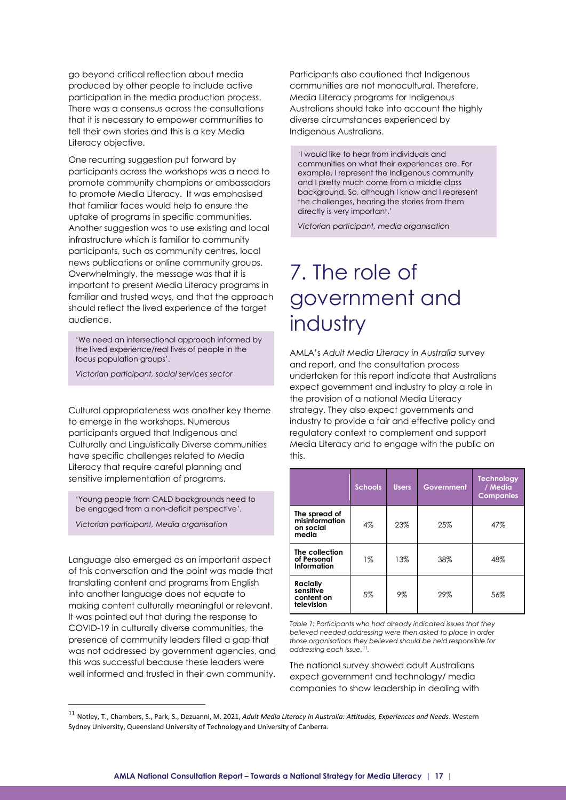go beyond critical reflection about media produced by other people to include active participation in the media production process. There was a consensus across the consultations that it is necessary to empower communities to tell their own stories and this is a key Media Literacy objective.

One recurring suggestion put forward by participants across the workshops was a need to promote community champions or ambassadors to promote Media Literacy. It was emphasised that familiar faces would help to ensure the uptake of programs in specific communities. Another suggestion was to use existing and local infrastructure which is familiar to community participants, such as community centres, local news publications or online community groups. Overwhelmingly, the message was that it is important to present Media Literacy programs in familiar and trusted ways, and that the approach should reflect the lived experience of the target audience.

'We need an intersectional approach informed by the lived experience/real lives of people in the focus population groups'.

*Victorian participant, social services sector*

Cultural appropriateness was another key theme to emerge in the workshops. Numerous participants argued that Indigenous and Culturally and Linguistically Diverse communities have specific challenges related to Media Literacy that require careful planning and sensitive implementation of programs.

'Young people from CALD backgrounds need to be engaged from a non-deficit perspective'.

*Victorian participant, Media organisation*

Language also emerged as an important aspect of this conversation and the point was made that translating content and programs from English into another language does not equate to making content culturally meaningful or relevant. It was pointed out that during the response to COVID-19 in culturally diverse communities, the presence of community leaders filled a gap that was not addressed by government agencies, and this was successful because these leaders were well informed and trusted in their own community.

Participants also cautioned that Indigenous communities are not monocultural. Therefore, Media Literacy programs for Indigenous Australians should take into account the highly diverse circumstances experienced by Indigenous Australians.

'I would like to hear from individuals and communities on what their experiences are. For example, I represent the Indigenous community and I pretty much come from a middle class background. So, although I know and I represent the challenges, hearing the stories from them directly is very important.'

*Victorian participant, media organisation*

# <span id="page-16-0"></span>7. The role of government and industry

AMLA's *Adult Media Literacy in Australia* survey and report, and the consultation process undertaken for this report indicate that Australians expect government and industry to play a role in the provision of a national Media Literacy strategy. They also expect governments and industry to provide a fair and effective policy and regulatory context to complement and support Media Literacy and to engage with the public on this.

|                                                          | <b>Schools</b> | <b>Users</b> | Government | <b>Technology</b><br>/ Media<br><b>Companies</b> |
|----------------------------------------------------------|----------------|--------------|------------|--------------------------------------------------|
| The spread of<br>misinformation<br>on social<br>media    | 4%             | 23%          | 25%        | 47%                                              |
| The collection<br>of Personal<br>Information             | $1\%$          | 13%          | 38%        | 48%                                              |
| <b>Racially</b><br>sensitive<br>content on<br>television | 5%             | 9%           | 29%        | 56%                                              |

*Table 1: Participants who had already indicated issues that they believed needed addressing were then asked to place in order those organisations they believed should be held responsible for addressing each issue.[11.](#page-16-1)*

The national survey showed adult Australians expect government and technology/ media companies to show leadership in dealing with

<span id="page-16-1"></span><sup>11</sup> Notley, T., Chambers, S., Park, S., Dezuanni, M. 2021, *Adult Media Literacy in Australia: Attitudes, Experiences and Needs*. Western Sydney University, Queensland University of Technology and University of Canberra.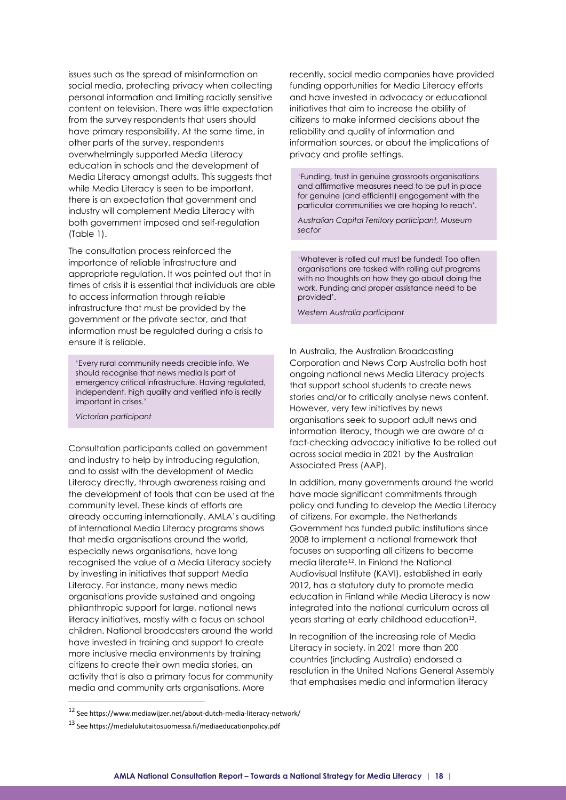issues such as the spread of misinformation on social media, protecting privacy when collecting personal information and limiting racially sensitive content on television. There was little expectation from the survey respondents that users should have primary responsibility. At the same time, in other parts of the survey, respondents overwhelmingly supported Media Literacy education in schools and the development of Media Literacy amongst adults. This suggests that while Media Literacy is seen to be important, there is an expectation that government and industry will complement Media Literacy with both government imposed and self-regulation (Table 1).

The consultation process reinforced the importance of reliable infrastructure and appropriate regulation. It was pointed out that in times of crisis it is essential that individuals are able to access information through reliable infrastructure that must be provided by the government or the private sector, and that information must be regulated during a crisis to ensure it is reliable.

'Every rural community needs credible info. We should recognise that news media is part of emergency critical infrastructure. Having regulated, independent, high quality and verified info is really important in crises.'

*Victorian participant*

Consultation participants called on government and industry to help by introducing regulation, and to assist with the development of Media Literacy directly, through awareness raising and the development of tools that can be used at the community level. These kinds of efforts are already occurring internationally. AMLA's auditing of international Media Literacy programs shows that media organisations around the world, especially news organisations, have long recognised the value of a Media Literacy society by investing in initiatives that support Media Literacy. For instance, many news media organisations provide sustained and ongoing philanthropic support for large, national news literacy initiatives, mostly with a focus on school children. National broadcasters around the world have invested in training and support to create more inclusive media environments by training citizens to create their own media stories, an activity that is also a primary focus for community media and community arts organisations. More

recently, social media companies have provided funding opportunities for Media Literacy efforts and have invested in advocacy or educational initiatives that aim to increase the ability of citizens to make informed decisions about the reliability and quality of information and information sources, or about the implications of privacy and profile settings.

'Funding, trust in genuine grassroots organisations and affirmative measures need to be put in place for genuine (and efficient!) engagement with the particular communities we are hoping to reach'.

*Australian Capital Territory participant, Museum sector*

'Whatever is rolled out must be funded! Too often organisations are tasked with rolling out programs with no thoughts on how they go about doing the work. Funding and proper assistance need to be provided'.

*Western Australia participant*

In Australia, the Australian Broadcasting Corporation and News Corp Australia both host ongoing national news Media Literacy projects that support school students to create news stories and/or to critically analyse news content. However, very few initiatives by news organisations seek to support adult news and information literacy, though we are aware of a fact-checking advocacy initiative to be rolled out across social media in 2021 by the Australian Associated Press (AAP).

In addition, many governments around the world have made significant commitments through policy and funding to develop the Media Literacy of citizens. For example, the Netherlands Government has funded public institutions since 2008 to implement a national framework that focuses on supporting all citizens to become media literate<sup>[12](#page-17-0)</sup>. In Finland the National Audiovisual Institute (KAVI), established in early 2012, has a statutory duty to promote media education in Finland while Media Literacy is now integrated into the national curriculum across all years starting at early childhood education<sup>[13](#page-17-1)</sup>.

In recognition of the increasing role of Media Literacy in society, in 2021 more than 200 countries (including Australia) endorsed a resolution in the United Nations General Assembly that emphasises media and information literacy

<span id="page-17-0"></span><sup>12</sup> See https://www.mediawijzer.net/about-dutch-media-literacy-network/

<span id="page-17-1"></span><sup>13</sup> See https://medialukutaitosuomessa.fi/mediaeducationpolicy.pdf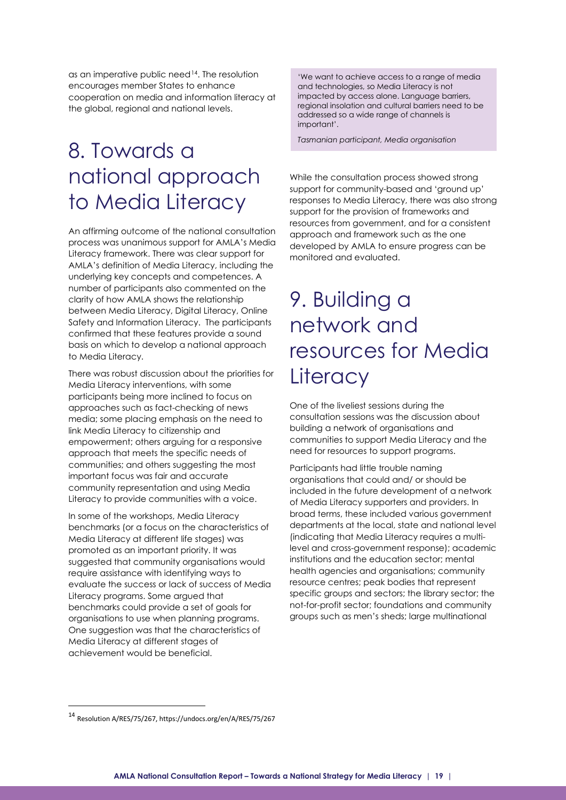as an imperative public need<sup>14</sup>. The resolution encourages member States to enhance cooperation on media and information literacy at the global, regional and national levels.

## <span id="page-18-0"></span>8. Towards a national approach to Media Literacy

An affirming outcome of the national consultation process was unanimous support for AMLA's Media Literacy framework. There was clear support for AMLA's definition of Media Literacy, including the underlying key concepts and competences. A number of participants also commented on the clarity of how AMLA shows the relationship between Media Literacy, Digital Literacy, Online Safety and Information Literacy. The participants confirmed that these features provide a sound basis on which to develop a national approach to Media Literacy.

There was robust discussion about the priorities for Media Literacy interventions, with some participants being more inclined to focus on approaches such as fact-checking of news media; some placing emphasis on the need to link Media Literacy to citizenship and empowerment; others arguing for a responsive approach that meets the specific needs of communities; and others suggesting the most important focus was fair and accurate community representation and using Media Literacy to provide communities with a voice.

In some of the workshops, Media Literacy benchmarks (or a focus on the characteristics of Media Literacy at different life stages) was promoted as an important priority. It was suggested that community organisations would require assistance with identifying ways to evaluate the success or lack of success of Media Literacy programs. Some argued that benchmarks could provide a set of goals for organisations to use when planning programs. One suggestion was that the characteristics of Media Literacy at different stages of achievement would be beneficial.

'We want to achieve access to a range of media and technologies, so Media Literacy is not impacted by access alone. Language barriers, regional insolation and cultural barriers need to be addressed so a wide range of channels is important'.

*Tasmanian participant, Media organisation*

While the consultation process showed strong support for community-based and 'ground up' responses to Media Literacy, there was also strong support for the provision of frameworks and resources from government, and for a consistent approach and framework such as the one developed by AMLA to ensure progress can be monitored and evaluated.

### <span id="page-18-1"></span>9. Building a network and resources for Media **Literacy**

One of the liveliest sessions during the consultation sessions was the discussion about building a network of organisations and communities to support Media Literacy and the need for resources to support programs.

Participants had little trouble naming organisations that could and/ or should be included in the future development of a network of Media Literacy supporters and providers. In broad terms, these included various government departments at the local, state and national level (indicating that Media Literacy requires a multilevel and cross-government response); academic institutions and the education sector; mental health agencies and organisations; community resource centres; peak bodies that represent specific groups and sectors; the library sector; the not-for-profit sector; foundations and community groups such as men's sheds; large multinational

<span id="page-18-2"></span><sup>14</sup> Resolution A/RES/75/267, https://undocs.org/en/A/RES/75/267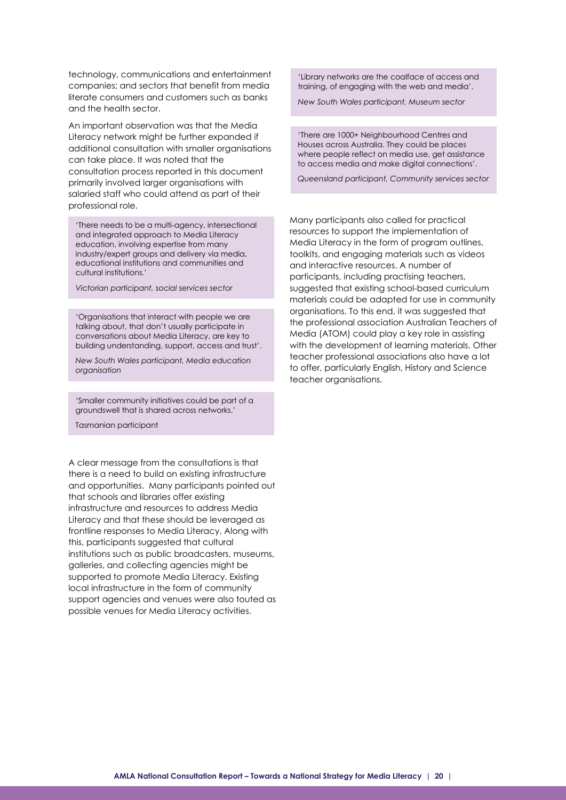technology, communications and entertainment companies; and sectors that benefit from media literate consumers and customers such as banks and the health sector.

An important observation was that the Media Literacy network might be further expanded if additional consultation with smaller organisations can take place. It was noted that the consultation process reported in this document primarily involved larger organisations with salaried staff who could attend as part of their professional role.

'There needs to be a multi-agency, intersectional and integrated approach to Media Literacy education, involving expertise from many industry/expert groups and delivery via media, educational institutions and communities and cultural institutions.'

*Victorian participant, social services sector* 

'Organisations that interact with people we are talking about, that don't usually participate in conversations about Media Literacy, are key to building understanding, support, access and trust'.

*New South Wales participant, Media education organisation*

'Smaller community initiatives could be part of a groundswell that is shared across networks.'

Tasmanian participant

A clear message from the consultations is that there is a need to build on existing infrastructure and opportunities. Many participants pointed out that schools and libraries offer existing infrastructure and resources to address Media Literacy and that these should be leveraged as frontline responses to Media Literacy. Along with this, participants suggested that cultural institutions such as public broadcasters, museums, galleries, and collecting agencies might be supported to promote Media Literacy. Existing local infrastructure in the form of community support agencies and venues were also touted as possible venues for Media Literacy activities.

'Library networks are the coalface of access and training, of engaging with the web and media'.

*New South Wales participant, Museum sector*

'There are 1000+ Neighbourhood Centres and Houses across Australia. They could be places where people reflect on media use, get assistance to access media and make digital connections'.

*Queensland participant, Community services sector*

Many participants also called for practical resources to support the implementation of Media Literacy in the form of program outlines, toolkits, and engaging materials such as videos and interactive resources. A number of participants, including practising teachers, suggested that existing school-based curriculum materials could be adapted for use in community organisations. To this end, it was suggested that the professional association Australian Teachers of Media (ATOM) could play a key role in assisting with the development of learning materials. Other teacher professional associations also have a lot to offer, particularly English, History and Science teacher organisations.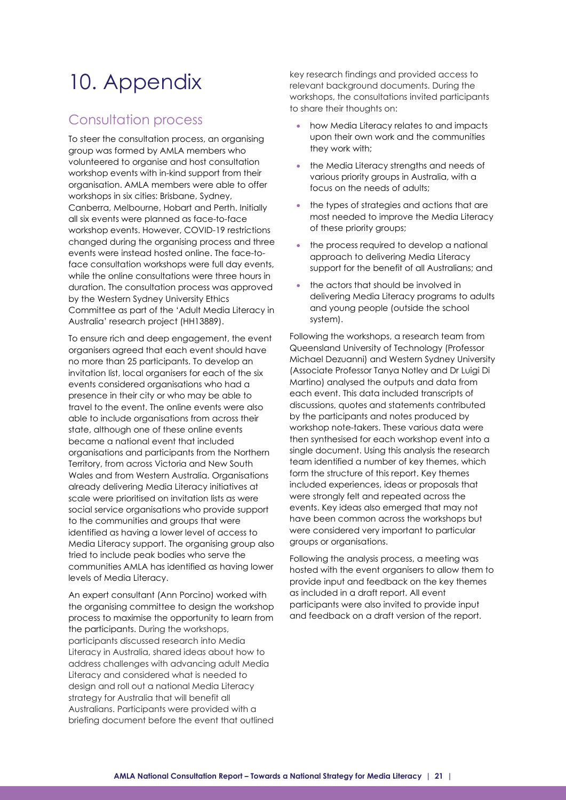# <span id="page-20-0"></span>10. Appendix

### Consultation process

To steer the consultation process, an organising group was formed by AMLA members who volunteered to organise and host consultation workshop events with in-kind support from their organisation. AMLA members were able to offer workshops in six cities: Brisbane, Sydney, Canberra, Melbourne, Hobart and Perth. Initially all six events were planned as face-to-face workshop events. However, COVID-19 restrictions changed during the organising process and three events were instead hosted online. The face-toface consultation workshops were full day events, while the online consultations were three hours in duration. The consultation process was approved by the Western Sydney University Ethics Committee as part of the 'Adult Media Literacy in Australia' research project (HH13889).

To ensure rich and deep engagement, the event organisers agreed that each event should have no more than 25 participants. To develop an invitation list, local organisers for each of the six events considered organisations who had a presence in their city or who may be able to travel to the event. The online events were also able to include organisations from across their state, although one of these online events became a national event that included organisations and participants from the Northern Territory, from across Victoria and New South Wales and from Western Australia. Organisations already delivering Media Literacy initiatives at scale were prioritised on invitation lists as were social service organisations who provide support to the communities and groups that were identified as having a lower level of access to Media Literacy support. The organising group also tried to include peak bodies who serve the communities AMLA has identified as having lower levels of Media Literacy.

An expert consultant (Ann Porcino) worked with the organising committee to design the workshop process to maximise the opportunity to learn from the participants. During the workshops, participants discussed research into Media Literacy in Australia, shared ideas about how to address challenges with advancing adult Media Literacy and considered what is needed to design and roll out a national Media Literacy strategy for Australia that will benefit all Australians. Participants were provided with a briefing document before the event that outlined

key research findings and provided access to relevant background documents. During the workshops, the consultations invited participants to share their thoughts on:

- how Media Literacy relates to and impacts upon their own work and the communities they work with;
- the Media Literacy strengths and needs of various priority groups in Australia, with a focus on the needs of adults;
- the types of strategies and actions that are most needed to improve the Media Literacy of these priority groups;
- the process required to develop a national approach to delivering Media Literacy support for the benefit of all Australians; and
- the actors that should be involved in delivering Media Literacy programs to adults and young people (outside the school system).

Following the workshops, a research team from Queensland University of Technology (Professor Michael Dezuanni) and Western Sydney University (Associate Professor Tanya Notley and Dr Luigi Di Martino) analysed the outputs and data from each event. This data included transcripts of discussions, quotes and statements contributed by the participants and notes produced by workshop note-takers. These various data were then synthesised for each workshop event into a single document. Using this analysis the research team identified a number of key themes, which form the structure of this report. Key themes included experiences, ideas or proposals that were strongly felt and repeated across the events. Key ideas also emerged that may not have been common across the workshops but were considered very important to particular groups or organisations.

Following the analysis process, a meeting was hosted with the event organisers to allow them to provide input and feedback on the key themes as included in a draft report. All event participants were also invited to provide input and feedback on a draft version of the report.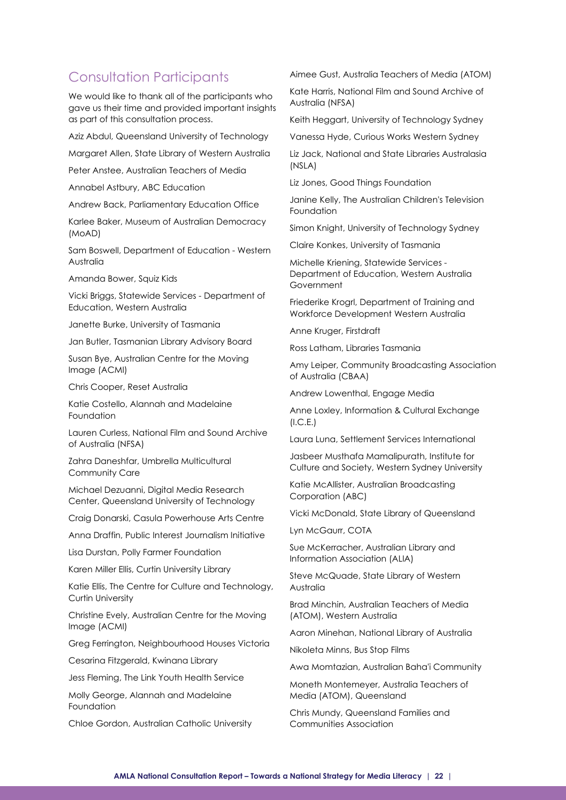### Consultation Participants

We would like to thank all of the participants who gave us their time and provided important insights as part of this consultation process.

Aziz Abdul, Queensland University of Technology

Margaret Allen, State Library of Western Australia

Peter Anstee, Australian Teachers of Media

Annabel Astbury, ABC Education

Andrew Back, Parliamentary Education Office

Karlee Baker, Museum of Australian Democracy (MoAD)

Sam Boswell, Department of Education - Western Australia

Amanda Bower, Squiz Kids

Vicki Briggs, Statewide Services - Department of Education, Western Australia

Janette Burke, University of Tasmania

Jan Butler, Tasmanian Library Advisory Board

Susan Bye, Australian Centre for the Moving Image (ACMI)

Chris Cooper, Reset Australia

Katie Costello, Alannah and Madelaine Foundation

Lauren Curless, National Film and Sound Archive of Australia (NFSA)

Zahra Daneshfar, Umbrella Multicultural Community Care

Michael Dezuanni, Digital Media Research Center, Queensland University of Technology

Craig Donarski, Casula Powerhouse Arts Centre

Anna Draffin, Public Interest Journalism Initiative

Lisa Durstan, Polly Farmer Foundation

Karen Miller Ellis, Curtin University Library

Katie Ellis, The Centre for Culture and Technology, Curtin University

Christine Evely, Australian Centre for the Moving Image (ACMI)

Greg Ferrington, Neighbourhood Houses Victoria

Cesarina Fitzgerald, Kwinana Library

Jess Fleming, The Link Youth Health Service

Molly George, Alannah and Madelaine Foundation

Chloe Gordon, Australian Catholic University

Aimee Gust, Australia Teachers of Media (ATOM)

Kate Harris, National Film and Sound Archive of Australia (NFSA)

Keith Heggart, University of Technology Sydney

Vanessa Hyde, Curious Works Western Sydney

Liz Jack, National and State Libraries Australasia (NSLA)

Liz Jones, Good Things Foundation

Janine Kelly, The Australian Children's Television Foundation

Simon Knight, University of Technology Sydney

Claire Konkes, University of Tasmania

Michelle Kriening, Statewide Services - Department of Education, Western Australia Government

Friederike Krogrl, Department of Training and Workforce Development Western Australia

Anne Kruger, Firstdraft

Ross Latham, Libraries Tasmania

Amy Leiper, Community Broadcasting Association of Australia (CBAA)

Andrew Lowenthal, Engage Media

Anne Loxley, Information & Cultural Exchange  $(I.C.E.)$ 

Laura Luna, Settlement Services International

Jasbeer Musthafa Mamalipurath, Institute for Culture and Society, Western Sydney University

Katie McAllister, Australian Broadcasting Corporation (ABC)

Vicki McDonald, State Library of Queensland

Lyn McGaurr, COTA

Sue McKerracher, Australian Library and Information Association (ALIA)

Steve McQuade, State Library of Western Australia

Brad Minchin, Australian Teachers of Media (ATOM), Western Australia

Aaron Minehan, National Library of Australia

Nikoleta Minns, Bus Stop Films

Awa Momtazian, Australian Baha'i Community

Moneth Montemeyer, Australia Teachers of Media (ATOM), Queensland

Chris Mundy, Queensland Families and Communities Association